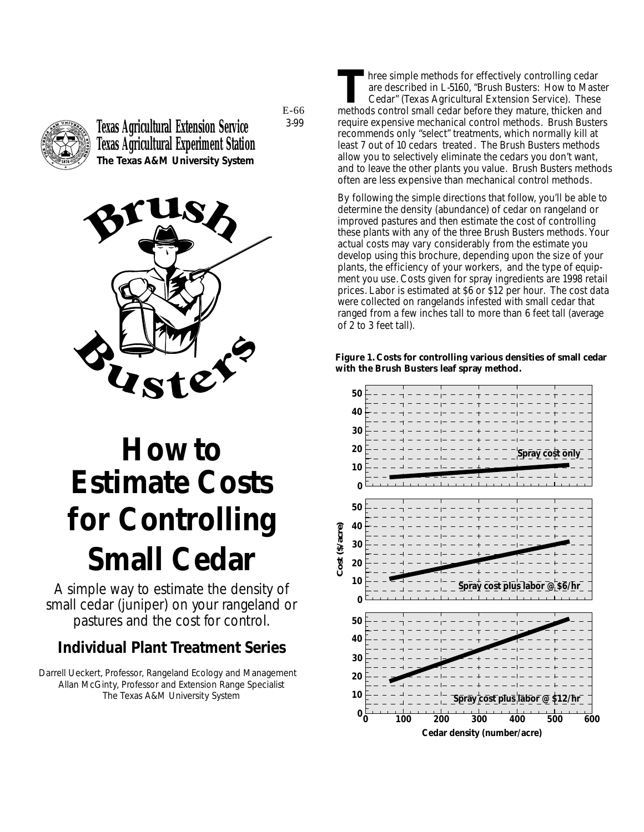

**Texas Agricultural Extension Service Texas Agricultural Experiment Station The Texas A&M University System** E-66 3-99



# **How to Estimate Costs for Controlling Small Cedar**

*A simple way to estimate the density of small cedar (juniper) on your rangeland or pastures and the cost for control.*

#### **Individual Plant Treatment Series**

Darrell Ueckert, Professor, Rangeland Ecology and Management Allan McGinty, Professor and Extension Range Specialist The Texas A&M University System

**T**hree simple methods for effectively controlling cedar are described in L-5160, "Brush Busters: How to Master Cedar" (Texas Agricultural Extension Service). These methods control small cedar before they mature, thicken and require expensive mechanical control methods. Brush Busters recommends only "select" treatments, which normally kill at least 7 out of 10 cedars treated. The Brush Busters methods allow you to selectively eliminate the cedars you don't want, and to leave the other plants you value. Brush Busters methods often are less expensive than mechanical control methods.

By following the simple directions that follow, you'll be able to determine the density (abundance) of cedar on rangeland or improved pastures and then estimate the cost of controlling these plants with any of the three Brush Busters methods. Your actual costs may vary considerably from the estimate you develop using this brochure, depending upon the size of your plants, the efficiency of your workers, and the type of equipment you use. Costs given for spray ingredients are 1998 retail prices. Labor is estimated at \$6 or \$12 per hour. The cost data were collected on rangelands infested with small cedar that ranged from a few inches tall to more than 6 feet tall (average of 2 to 3 feet tall).

**Figure 1. Costs for controlling various densities of small cedar with the Brush Busters leaf spray method.**

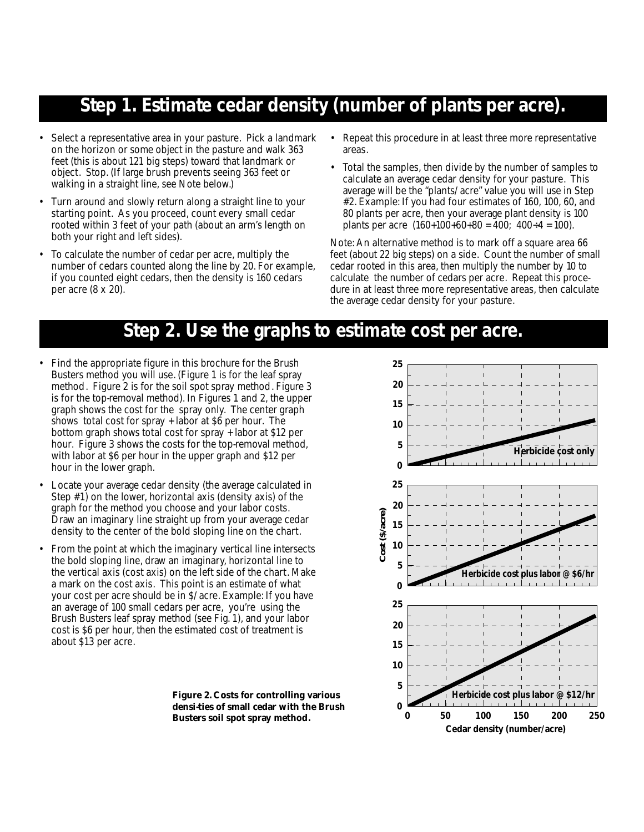## **Step 1. Estimate cedar density (number of plants per acre).**

- Select a representative area in your pasture. Pick a landmark on the horizon or some object in the pasture and walk 363 feet (this is about 121 big steps) toward that landmark or object. Stop. (If large brush prevents seeing 363 feet or walking in a straight line, see Note below.)
- Turn around and slowly return along a straight line to your starting point. As you proceed, count every small cedar rooted within 3 feet of your path (about an arm's length on both your right and left sides).
- To calculate the number of cedar per acre, multiply the number of cedars counted along the line by 20. For example, if you counted eight cedars, then the density is 160 cedars per acre (8 x 20).
- Repeat this procedure in at least three more representative areas.
- Total the samples, then divide by the number of samples to calculate an average cedar density for your pasture. This average will be the "plants/acre" value you will use in Step #2. Example: If you had four estimates of 160, 100, 60, and 80 plants per acre, then your average plant density is 100 plants per acre  $(160+100+60+80) = 400$ ;  $400 \div 4 = 100$ .

Note: An alternative method is to mark off a square area 66 feet (about 22 big steps) on a side. Count the number of small cedar rooted in this area, then multiply the number by 10 to calculate the number of cedars per acre. Repeat this procedure in at least three more representative areas, then calculate the average cedar density for your pasture.

## **Step 2. Use the graphs to estimate cost per acre.**

- Find the appropriate figure in this brochure for the Brush Busters method you will use. (Figure 1 is for the leaf spray method. Figure 2 is for the soil spot spray method. Figure 3 is for the top-removal method). In Figures 1 and 2, the upper graph shows the cost for the spray only. The center graph shows total cost for spray + labor at \$6 per hour. The bottom graph shows total cost for spray + labor at \$12 per hour. Figure 3 shows the costs for the top-removal method, with labor at \$6 per hour in the upper graph and \$12 per hour in the lower graph.
- Locate your average cedar density (the average calculated in Step #1) on the lower, horizontal axis (density axis) of the graph for the method you choose and your labor costs. Draw an imaginary line straight up from your average cedar density to the center of the bold sloping line on the chart.
- From the point at which the imaginary vertical line intersects the bold sloping line, draw an imaginary, horizontal line to the vertical axis (cost axis) on the left side of the chart. Make a mark on the cost axis. This point is an estimate of what your cost per acre should be in \$/acre. Example: If you have an average of 100 small cedars per acre, you're using the Brush Busters leaf spray method (see Fig. 1), and your labor cost is \$6 per hour, then the estimated cost of treatment is about \$13 per acre.



**Figure 2. Costs for controlling various densi-ties of small cedar with the Brush Busters soil spot spray method.**